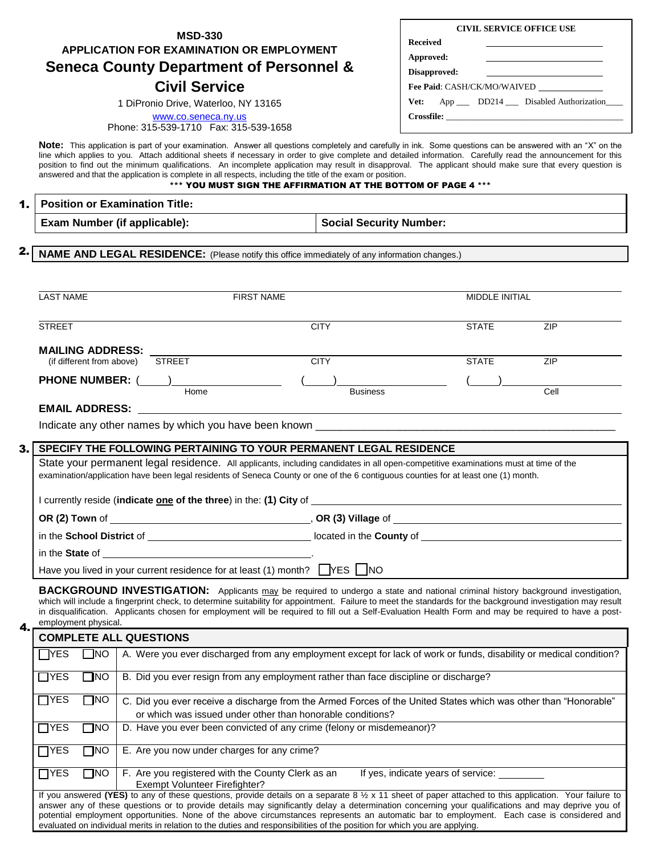|     | <b>MSD-330</b>                                                                                                                                                                                                                                                                                                                                                                                                                                                                                                                                                                                                                                                                     | <b>CIVIL SERVICE OFFICE USE</b>             |
|-----|------------------------------------------------------------------------------------------------------------------------------------------------------------------------------------------------------------------------------------------------------------------------------------------------------------------------------------------------------------------------------------------------------------------------------------------------------------------------------------------------------------------------------------------------------------------------------------------------------------------------------------------------------------------------------------|---------------------------------------------|
|     | <b>APPLICATION FOR EXAMINATION OR EMPLOYMENT</b>                                                                                                                                                                                                                                                                                                                                                                                                                                                                                                                                                                                                                                   | <b>Received</b><br>Approved:                |
|     | <b>Seneca County Department of Personnel &amp;</b>                                                                                                                                                                                                                                                                                                                                                                                                                                                                                                                                                                                                                                 | Disapproved:                                |
|     | <b>Civil Service</b>                                                                                                                                                                                                                                                                                                                                                                                                                                                                                                                                                                                                                                                               | Fee Paid: CASH/CK/MO/WAIVED                 |
|     | 1 DiPronio Drive, Waterloo, NY 13165                                                                                                                                                                                                                                                                                                                                                                                                                                                                                                                                                                                                                                               | Vet: App __ DD214 __ Disabled Authorization |
|     | www.co.seneca.ny.us                                                                                                                                                                                                                                                                                                                                                                                                                                                                                                                                                                                                                                                                |                                             |
|     | Phone: 315-539-1710  Fax: 315-539-1658                                                                                                                                                                                                                                                                                                                                                                                                                                                                                                                                                                                                                                             |                                             |
|     | <b>Note:</b> This application is part of your examination. Answer all questions completely and carefully in ink. Some questions can be answered with an "X" on the<br>line which applies to you. Attach additional sheets if necessary in order to give complete and detailed information. Carefully read the announcement for this<br>position to find out the minimum qualifications. An incomplete application may result in disapproval. The applicant should make sure that every question is<br>answered and that the application is complete in all respects, including the title of the exam or position.<br>*** YOU MUST SIGN THE AFFIRMATION AT THE BOTTOM OF PAGE 4 *** |                                             |
| 1.  | <b>Position or Examination Title:</b>                                                                                                                                                                                                                                                                                                                                                                                                                                                                                                                                                                                                                                              |                                             |
|     | Exam Number (if applicable):                                                                                                                                                                                                                                                                                                                                                                                                                                                                                                                                                                                                                                                       | <b>Social Security Number:</b>              |
|     |                                                                                                                                                                                                                                                                                                                                                                                                                                                                                                                                                                                                                                                                                    |                                             |
| 2.  | <b>NAME AND LEGAL RESIDENCE:</b> (Please notify this office immediately of any information changes.)                                                                                                                                                                                                                                                                                                                                                                                                                                                                                                                                                                               |                                             |
|     |                                                                                                                                                                                                                                                                                                                                                                                                                                                                                                                                                                                                                                                                                    |                                             |
|     | <b>LAST NAME</b><br><b>FIRST NAME</b>                                                                                                                                                                                                                                                                                                                                                                                                                                                                                                                                                                                                                                              | MIDDLE INITIAL                              |
|     |                                                                                                                                                                                                                                                                                                                                                                                                                                                                                                                                                                                                                                                                                    |                                             |
|     | <b>STREET</b><br><b>CITY</b>                                                                                                                                                                                                                                                                                                                                                                                                                                                                                                                                                                                                                                                       | ZIP<br><b>STATE</b>                         |
|     | <b>MAILING ADDRESS:</b>                                                                                                                                                                                                                                                                                                                                                                                                                                                                                                                                                                                                                                                            |                                             |
|     | <b>CITY</b><br><b>STREET</b><br>(if different from above)                                                                                                                                                                                                                                                                                                                                                                                                                                                                                                                                                                                                                          | <b>STATE</b><br><b>ZIP</b>                  |
|     | <b>PHONE NUMBER: (</b>                                                                                                                                                                                                                                                                                                                                                                                                                                                                                                                                                                                                                                                             |                                             |
|     | Home<br><b>Business</b>                                                                                                                                                                                                                                                                                                                                                                                                                                                                                                                                                                                                                                                            | Cell                                        |
|     | <b>EMAIL ADDRESS:</b><br><u> 1989 - John Stein, Amerikaansk politiker († 1908)</u>                                                                                                                                                                                                                                                                                                                                                                                                                                                                                                                                                                                                 |                                             |
|     |                                                                                                                                                                                                                                                                                                                                                                                                                                                                                                                                                                                                                                                                                    |                                             |
| 3.1 | SPECIFY THE FOLLOWING PERTAINING TO YOUR PERMANENT LEGAL RESIDENCE                                                                                                                                                                                                                                                                                                                                                                                                                                                                                                                                                                                                                 |                                             |
|     | State your permanent legal residence. All applicants, including candidates in all open-competitive examinations must at time of the<br>examination/application have been legal residents of Seneca County or one of the 6 contiguous counties for at least one (1) month.                                                                                                                                                                                                                                                                                                                                                                                                          |                                             |
|     |                                                                                                                                                                                                                                                                                                                                                                                                                                                                                                                                                                                                                                                                                    |                                             |
|     | I currently reside (indicate one of the three) in the: (1) City of                                                                                                                                                                                                                                                                                                                                                                                                                                                                                                                                                                                                                 |                                             |
|     |                                                                                                                                                                                                                                                                                                                                                                                                                                                                                                                                                                                                                                                                                    |                                             |
|     |                                                                                                                                                                                                                                                                                                                                                                                                                                                                                                                                                                                                                                                                                    |                                             |
|     |                                                                                                                                                                                                                                                                                                                                                                                                                                                                                                                                                                                                                                                                                    |                                             |
|     | Have you lived in your current residence for at least (1) month? $\Box$ YES $\Box$ NO                                                                                                                                                                                                                                                                                                                                                                                                                                                                                                                                                                                              |                                             |
| 4.  | <b>BACKGROUND INVESTIGATION:</b> Applicants may be required to undergo a state and national criminal history background investigation,<br>which will include a fingerprint check, to determine suitability for appointment. Failure to meet the standards for the background investigation may result<br>in disqualification. Applicants chosen for employment will be required to fill out a Self-Evaluation Health Form and may be required to have a post-<br>employment physical.                                                                                                                                                                                              |                                             |
|     | <b>COMPLETE ALL QUESTIONS</b>                                                                                                                                                                                                                                                                                                                                                                                                                                                                                                                                                                                                                                                      |                                             |
|     | A. Were you ever discharged from any employment except for lack of work or funds, disability or medical condition?<br>$\square$ NO<br>$\bigcap$ YES                                                                                                                                                                                                                                                                                                                                                                                                                                                                                                                                |                                             |
|     | $\Box$ YES<br>$\square$ NO<br>B. Did you ever resign from any employment rather than face discipline or discharge?                                                                                                                                                                                                                                                                                                                                                                                                                                                                                                                                                                 |                                             |
|     | $\Box$ YES<br>$\square$ NO<br>C. Did you ever receive a discharge from the Armed Forces of the United States which was other than "Honorable"<br>or which was issued under other than honorable conditions?                                                                                                                                                                                                                                                                                                                                                                                                                                                                        |                                             |
|     | $\Box$ YES<br>D. Have you ever been convicted of any crime (felony or misdemeanor)?<br>$\square$ NO                                                                                                                                                                                                                                                                                                                                                                                                                                                                                                                                                                                |                                             |
|     | $\Box$ YES<br>$\Box$ NO<br>E. Are you now under charges for any crime?                                                                                                                                                                                                                                                                                                                                                                                                                                                                                                                                                                                                             |                                             |
|     | $\Box$ YES<br>F. Are you registered with the County Clerk as an<br>$\square$ NO<br>Exempt Volunteer Firefighter?                                                                                                                                                                                                                                                                                                                                                                                                                                                                                                                                                                   | If yes, indicate years of service:          |
|     | If you answered (YES) to any of these questions, provide details on a separate 8 $\frac{1}{2}$ x 11 sheet of paper attached to this application. Your failure to<br>answer any of these questions or to provide details may significantly delay a determination concerning your qualifications and may deprive you of<br>potential employment opportunities. None of the above circumstances represents an automatic bar to employment. Each case is considered and<br>evaluated on individual merits in relation to the duties and responsibilities of the position for which you are applying.                                                                                   |                                             |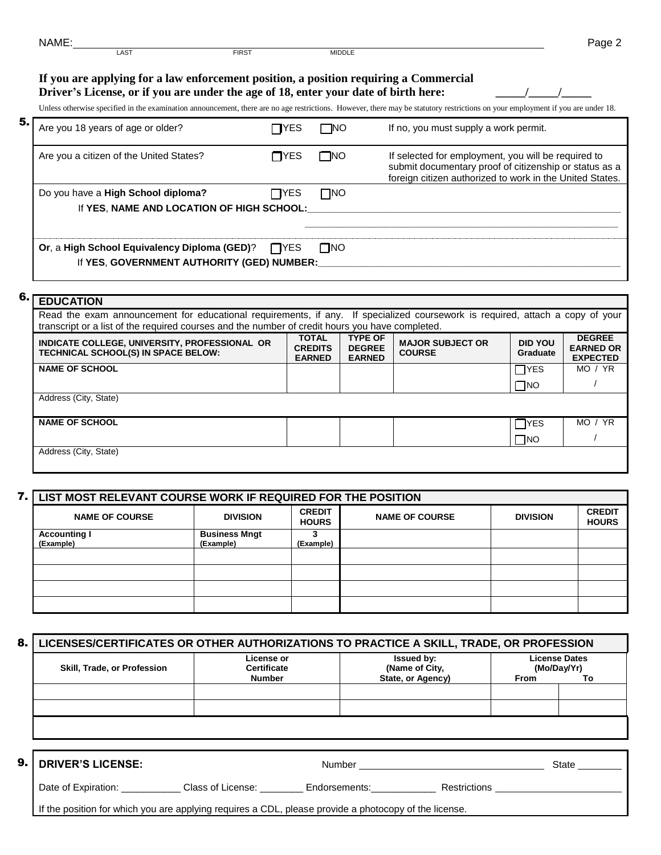|      | NAME:                                   |                                                                                            |              |               | Page 2                                                                                                                                                                          |
|------|-----------------------------------------|--------------------------------------------------------------------------------------------|--------------|---------------|---------------------------------------------------------------------------------------------------------------------------------------------------------------------------------|
|      | LAST                                    |                                                                                            | <b>FIRST</b> | <b>MIDDLE</b> |                                                                                                                                                                                 |
|      |                                         | Driver's License, or if you are under the age of 18, enter your date of birth here:        |              |               | If you are applying for a law enforcement position, a position requiring a Commercial                                                                                           |
|      |                                         |                                                                                            |              |               | Unless otherwise specified in the examination announcement, there are no age restrictions. However, there may be statutory restrictions on your employment if you are under 18. |
| 5. I | Are you 18 years of age or older?       |                                                                                            | ΠYES         | ⊟NO           | If no, you must supply a work permit.                                                                                                                                           |
|      | Are you a citizen of the United States? |                                                                                            | $\Box$ YES   | <b>ITINO</b>  | If selected for employment, you will be required to<br>submit documentary proof of citizenship or status as a<br>foreign citizen authorized to work in the United States.       |
|      | Do you have a High School diploma?      |                                                                                            | $\Box$ YES   | $\Box$ NO     |                                                                                                                                                                                 |
|      |                                         | If YES, NAME AND LOCATION OF HIGH SCHOOL:                                                  |              |               |                                                                                                                                                                                 |
|      |                                         | Or, a High School Equivalency Diploma (GED)?<br>If YES, GOVERNMENT AUTHORITY (GED) NUMBER: | $\Box$ YES   | $\Box$ NO     |                                                                                                                                                                                 |

## **6.** EDUCATION

| Read the exam announcement for educational requirements, if any. If specialized coursework is required, attach a copy of your<br>transcript or a list of the required courses and the number of credit hours you have completed.                                                                                              |  |  |  |            |         |  |
|-------------------------------------------------------------------------------------------------------------------------------------------------------------------------------------------------------------------------------------------------------------------------------------------------------------------------------|--|--|--|------------|---------|--|
| <b>TYPE OF</b><br><b>DEGREE</b><br><b>TOTAL</b><br><b>MAJOR SUBJECT OR</b><br><b>DID YOU</b><br>INDICATE COLLEGE, UNIVERSITY, PROFESSIONAL OR<br><b>DEGREE</b><br><b>EARNED OR</b><br><b>CREDITS</b><br>TECHNICAL SCHOOL(S) IN SPACE BELOW:<br><b>COURSE</b><br>Graduate<br><b>EARNED</b><br><b>EARNED</b><br><b>EXPECTED</b> |  |  |  |            |         |  |
| <b>NAME OF SCHOOL</b>                                                                                                                                                                                                                                                                                                         |  |  |  | $\Box$ YES | MO / YR |  |
|                                                                                                                                                                                                                                                                                                                               |  |  |  | $\Box$ NO  |         |  |
| Address (City, State)                                                                                                                                                                                                                                                                                                         |  |  |  |            |         |  |
| <b>NAME OF SCHOOL</b>                                                                                                                                                                                                                                                                                                         |  |  |  | $\Box$ YES | MO / YR |  |
|                                                                                                                                                                                                                                                                                                                               |  |  |  | $\Box$ NO  |         |  |
| Address (City, State)                                                                                                                                                                                                                                                                                                         |  |  |  |            |         |  |

### **LIST MOST RELEVANT COURSE WORK IF REQUIRED FOR THE POSITION** 7.

| <b>NAME OF COURSE</b>            | <b>DIVISION</b>                   | <b>CREDIT</b><br><b>HOURS</b> | <b>NAME OF COURSE</b> | <b>DIVISION</b> | <b>CREDIT</b><br><b>HOURS</b> |
|----------------------------------|-----------------------------------|-------------------------------|-----------------------|-----------------|-------------------------------|
| <b>Accounting I</b><br>(Example) | <b>Business Mngt</b><br>(Example) | (Example)                     |                       |                 |                               |
|                                  |                                   |                               |                       |                 |                               |
|                                  |                                   |                               |                       |                 |                               |
|                                  |                                   |                               |                       |                 |                               |
|                                  |                                   |                               |                       |                 |                               |

# **LICENSES/CERTIFICATES OR OTHER AUTHORIZATIONS TO PRACTICE A SKILL, TRADE, OR PROFESSION** 8.

| <b>Skill, Trade, or Profession</b> | License or<br>Certificate | <b>Issued by:</b><br>(Name of City, | <b>License Dates</b><br>(Mo/Day/Yr) |    |  |
|------------------------------------|---------------------------|-------------------------------------|-------------------------------------|----|--|
|                                    | <b>Number</b>             | State, or Agency)                   | <b>From</b>                         | То |  |
|                                    |                           |                                     |                                     |    |  |
|                                    |                           |                                     |                                     |    |  |
|                                    |                           |                                     |                                     |    |  |

| 9.1 | <b>DRIVER'S LICENSE:</b>                                                                              |                   | Number        |                     | State |
|-----|-------------------------------------------------------------------------------------------------------|-------------------|---------------|---------------------|-------|
|     | Date of Expiration:                                                                                   | Class of License: | Endorsements: | <b>Restrictions</b> |       |
|     | If the position for which you are applying requires a CDL, please provide a photocopy of the license. |                   |               |                     |       |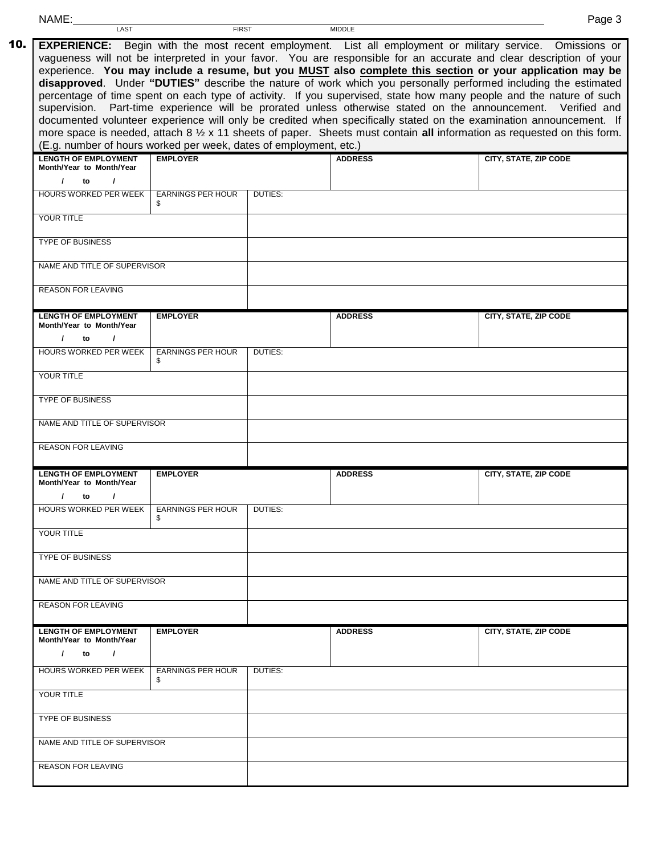| NAME:                                                                                                      |                                 |         |                                                                                                                                                                                                                                                                                                                                                                                                                                                                                                                                                                                                                                                                                                                                                                                                                                                                                                                                                            | Page 3                       |
|------------------------------------------------------------------------------------------------------------|---------------------------------|---------|------------------------------------------------------------------------------------------------------------------------------------------------------------------------------------------------------------------------------------------------------------------------------------------------------------------------------------------------------------------------------------------------------------------------------------------------------------------------------------------------------------------------------------------------------------------------------------------------------------------------------------------------------------------------------------------------------------------------------------------------------------------------------------------------------------------------------------------------------------------------------------------------------------------------------------------------------------|------------------------------|
| LAST                                                                                                       | <b>FIRST</b>                    |         | <b>MIDDLE</b>                                                                                                                                                                                                                                                                                                                                                                                                                                                                                                                                                                                                                                                                                                                                                                                                                                                                                                                                              |                              |
|                                                                                                            |                                 |         | <b>EXPERIENCE:</b> Begin with the most recent employment. List all employment or military service. Omissions or<br>vagueness will not be interpreted in your favor. You are responsible for an accurate and clear description of your<br>experience. You may include a resume, but you MUST also complete this section or your application may be<br>disapproved. Under "DUTIES" describe the nature of work which you personally performed including the estimated<br>percentage of time spent on each type of activity. If you supervised, state how many people and the nature of such<br>supervision. Part-time experience will be prorated unless otherwise stated on the announcement. Verified and<br>documented volunteer experience will only be credited when specifically stated on the examination announcement. If<br>more space is needed, attach 8 1/2 x 11 sheets of paper. Sheets must contain all information as requested on this form. |                              |
| (E.g. number of hours worked per week, dates of employment, etc.)                                          |                                 |         |                                                                                                                                                                                                                                                                                                                                                                                                                                                                                                                                                                                                                                                                                                                                                                                                                                                                                                                                                            |                              |
| <b>LENGTH OF EMPLOYMENT</b><br>Month/Year to Month/Year<br>$\prime$<br>$\mathcal{L}$<br>to                 | <b>EMPLOYER</b>                 |         | <b>ADDRESS</b>                                                                                                                                                                                                                                                                                                                                                                                                                                                                                                                                                                                                                                                                                                                                                                                                                                                                                                                                             | <b>CITY, STATE, ZIP CODE</b> |
| <b>HOURS WORKED PER WEEK</b>                                                                               | <b>EARNINGS PER HOUR</b>        | DUTIES: |                                                                                                                                                                                                                                                                                                                                                                                                                                                                                                                                                                                                                                                                                                                                                                                                                                                                                                                                                            |                              |
| YOUR TITLE                                                                                                 |                                 |         |                                                                                                                                                                                                                                                                                                                                                                                                                                                                                                                                                                                                                                                                                                                                                                                                                                                                                                                                                            |                              |
| <b>TYPE OF BUSINESS</b>                                                                                    |                                 |         |                                                                                                                                                                                                                                                                                                                                                                                                                                                                                                                                                                                                                                                                                                                                                                                                                                                                                                                                                            |                              |
| NAME AND TITLE OF SUPERVISOR                                                                               |                                 |         |                                                                                                                                                                                                                                                                                                                                                                                                                                                                                                                                                                                                                                                                                                                                                                                                                                                                                                                                                            |                              |
| <b>REASON FOR LEAVING</b>                                                                                  |                                 |         |                                                                                                                                                                                                                                                                                                                                                                                                                                                                                                                                                                                                                                                                                                                                                                                                                                                                                                                                                            |                              |
| <b>LENGTH OF EMPLOYMENT</b><br>Month/Year to Month/Year<br>$\frac{1}{2}$ to $\frac{1}{2}$<br>$\mathcal{L}$ | <b>EMPLOYER</b>                 |         | <b>ADDRESS</b>                                                                                                                                                                                                                                                                                                                                                                                                                                                                                                                                                                                                                                                                                                                                                                                                                                                                                                                                             | <b>CITY, STATE, ZIP CODE</b> |
| HOURS WORKED PER WEEK                                                                                      | <b>EARNINGS PER HOUR</b>        | DUTIES: |                                                                                                                                                                                                                                                                                                                                                                                                                                                                                                                                                                                                                                                                                                                                                                                                                                                                                                                                                            |                              |
| YOUR TITLE                                                                                                 |                                 |         |                                                                                                                                                                                                                                                                                                                                                                                                                                                                                                                                                                                                                                                                                                                                                                                                                                                                                                                                                            |                              |
| <b>TYPE OF BUSINESS</b>                                                                                    |                                 |         |                                                                                                                                                                                                                                                                                                                                                                                                                                                                                                                                                                                                                                                                                                                                                                                                                                                                                                                                                            |                              |
| NAME AND TITLE OF SUPERVISOR                                                                               |                                 |         |                                                                                                                                                                                                                                                                                                                                                                                                                                                                                                                                                                                                                                                                                                                                                                                                                                                                                                                                                            |                              |
| <b>REASON FOR LEAVING</b>                                                                                  |                                 |         |                                                                                                                                                                                                                                                                                                                                                                                                                                                                                                                                                                                                                                                                                                                                                                                                                                                                                                                                                            |                              |
| <b>LENGTH OF EMPLOYMENT</b><br>Month/Year to Month/Year<br>to $\sqrt{ }$<br>$\mathcal{L}$                  | <b>EMPLOYER</b>                 |         | <b>ADDRESS</b>                                                                                                                                                                                                                                                                                                                                                                                                                                                                                                                                                                                                                                                                                                                                                                                                                                                                                                                                             | <b>CITY, STATE, ZIP CODE</b> |
| HOURS WORKED PER WEEK                                                                                      | <b>EARNINGS PER HOUR</b><br>\$. | DUTIES: |                                                                                                                                                                                                                                                                                                                                                                                                                                                                                                                                                                                                                                                                                                                                                                                                                                                                                                                                                            |                              |
| YOUR TITLE                                                                                                 |                                 |         |                                                                                                                                                                                                                                                                                                                                                                                                                                                                                                                                                                                                                                                                                                                                                                                                                                                                                                                                                            |                              |
| <b>TYPE OF BUSINESS</b>                                                                                    |                                 |         |                                                                                                                                                                                                                                                                                                                                                                                                                                                                                                                                                                                                                                                                                                                                                                                                                                                                                                                                                            |                              |
| NAME AND TITLE OF SUPERVISOR                                                                               |                                 |         |                                                                                                                                                                                                                                                                                                                                                                                                                                                                                                                                                                                                                                                                                                                                                                                                                                                                                                                                                            |                              |
| <b>REASON FOR LEAVING</b>                                                                                  |                                 |         |                                                                                                                                                                                                                                                                                                                                                                                                                                                                                                                                                                                                                                                                                                                                                                                                                                                                                                                                                            |                              |
| <b>LENGTH OF EMPLOYMENT</b><br>Month/Year to Month/Year<br>$\frac{1}{1}$ to $\frac{1}{1}$                  | <b>EMPLOYER</b>                 |         | <b>ADDRESS</b>                                                                                                                                                                                                                                                                                                                                                                                                                                                                                                                                                                                                                                                                                                                                                                                                                                                                                                                                             | <b>CITY, STATE, ZIP CODE</b> |
| HOURS WORKED PER WEEK                                                                                      | <b>EARNINGS PER HOUR</b><br>S   | DUTIES: |                                                                                                                                                                                                                                                                                                                                                                                                                                                                                                                                                                                                                                                                                                                                                                                                                                                                                                                                                            |                              |
| YOUR TITLE                                                                                                 |                                 |         |                                                                                                                                                                                                                                                                                                                                                                                                                                                                                                                                                                                                                                                                                                                                                                                                                                                                                                                                                            |                              |
| <b>TYPE OF BUSINESS</b>                                                                                    |                                 |         |                                                                                                                                                                                                                                                                                                                                                                                                                                                                                                                                                                                                                                                                                                                                                                                                                                                                                                                                                            |                              |
| NAME AND TITLE OF SUPERVISOR                                                                               |                                 |         |                                                                                                                                                                                                                                                                                                                                                                                                                                                                                                                                                                                                                                                                                                                                                                                                                                                                                                                                                            |                              |
| <b>REASON FOR LEAVING</b>                                                                                  |                                 |         |                                                                                                                                                                                                                                                                                                                                                                                                                                                                                                                                                                                                                                                                                                                                                                                                                                                                                                                                                            |                              |
|                                                                                                            |                                 |         |                                                                                                                                                                                                                                                                                                                                                                                                                                                                                                                                                                                                                                                                                                                                                                                                                                                                                                                                                            |                              |